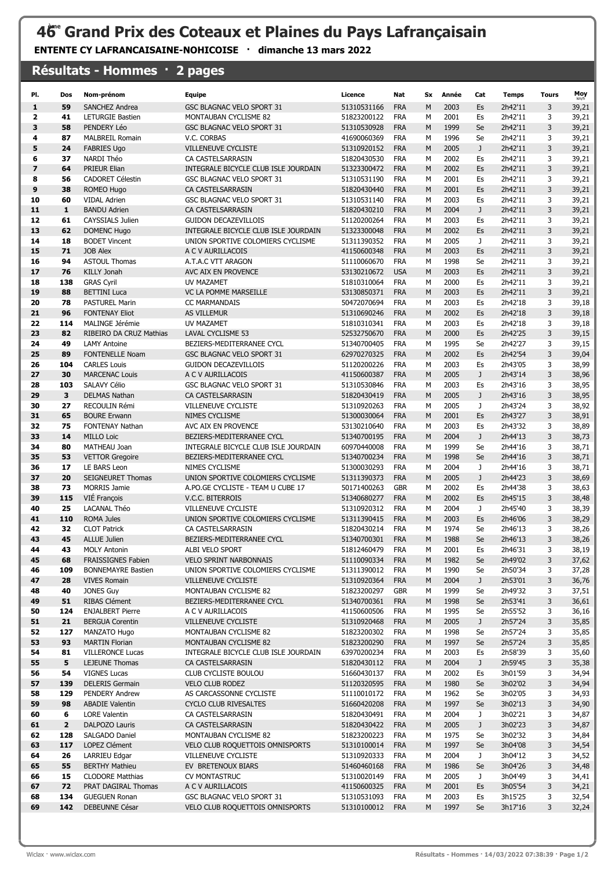## 46<sup>e</sup> Grand Prix des Coteaux et Plaines du Pays Lafrançaisain

ENTENTE CY LAFRANCAISAINE-NOHICOISE · dimanche 13 mars 2022

|          |                         | Résultats - Hommes · 2 pages                     |                                                               |                            |                          |        |              |              |                    |              |                |
|----------|-------------------------|--------------------------------------------------|---------------------------------------------------------------|----------------------------|--------------------------|--------|--------------|--------------|--------------------|--------------|----------------|
| PI.      | Dos                     | Nom-prénom                                       | <b>Equipe</b>                                                 | Licence                    | Nat                      | Sx     | Année        | Cat          | <b>Temps</b>       | <b>Tours</b> | Moy            |
| 1        | 59                      | <b>SANCHEZ Andrea</b>                            | <b>GSC BLAGNAC VELO SPORT 31</b>                              | 51310531166                | <b>FRA</b>               | M      | 2003         | Es           | 2h42'11            | 3            | 39,21          |
| 2        | 41                      | <b>LETURGIE Bastien</b>                          | MONTAUBAN CYCLISME 82                                         | 51823200122<br>51310530928 | <b>FRA</b>               | M      | 2001         | Es           | 2h42'11            | 3            | 39,21          |
| 3        | 58                      | PENDERY Léo                                      | GSC BLAGNAC VELO SPORT 31<br>V.C. CORBAS                      |                            | <b>FRA</b>               | M      | 1999         | Se           | 2h42'11            | 3            | 39,21          |
| 4        | 87                      | <b>MALBREIL Romain</b>                           |                                                               | 41690060369                | <b>FRA</b>               | М      | 1996         | Se           | 2h42'11            | 3            | 39,21          |
| 5<br>6   | 24<br>37                | <b>FABRIES Ugo</b><br>NARDI Théo                 | <b>VILLENEUVE CYCLISTE</b><br>CA CASTELSARRASIN               | 51310920152<br>51820430530 | <b>FRA</b><br><b>FRA</b> | M<br>М | 2005<br>2002 | J<br>Es      | 2h42'11<br>2h42'11 | 3<br>3       | 39,21<br>39,21 |
| 7        | 64                      | PRIEUR Elian                                     | INTEGRALE BICYCLE CLUB ISLE JOURDAIN                          | 51323300472                | <b>FRA</b>               | M      | 2002         | Es           | 2h42'11            | 3            | 39,21          |
| 8        | 56                      | <b>CADORET Célestin</b>                          | GSC BLAGNAC VELO SPORT 31                                     | 51310531190                | <b>FRA</b>               | М      | 2001         | Es           | 2h42'11            | 3            | 39,21          |
| 9        | 38                      | <b>ROMEO Hugo</b>                                | CA CASTELSARRASIN                                             | 51820430440                | <b>FRA</b>               | M      | 2001         | Es           | 2h42'11            | 3            | 39,21          |
| 10       | 60                      | <b>VIDAL Adrien</b>                              | <b>GSC BLAGNAC VELO SPORT 31</b>                              | 51310531140                | <b>FRA</b>               | M      | 2003         | Es           | 2h42'11            | 3            | 39,21          |
| 11       | $\mathbf{1}$            | <b>BANDU Adrien</b>                              | CA CASTELSARRASIN                                             | 51820430210                | <b>FRA</b>               | M      | 2004         | J            | 2h42'11            | 3            | 39,21          |
| 12       | 61                      | CAYSSIALS Julien                                 | <b>GUIDON DECAZEVILLOIS</b>                                   | 51120200264                | <b>FRA</b>               | M      | 2003         | Es           | 2h42'11            | 3            | 39,21          |
| 13       | 62                      | <b>DOMENC Hugo</b>                               | INTEGRALE BICYCLE CLUB ISLE JOURDAIN                          | 51323300048                | <b>FRA</b>               | M      | 2002         | Es           | 2h42'11            | 3            | 39,21          |
| 14       | 18                      | <b>BODET Vincent</b>                             | UNION SPORTIVE COLOMIERS CYCLISME                             | 51311390352                | <b>FRA</b>               | M      | 2005         | J            | 2h42'11            | 3            | 39,21          |
| 15       | 71                      | <b>JOB Alex</b>                                  | A C V AURILLACOIS                                             | 41150600348                | <b>FRA</b>               | M      | 2003         | Es           | 2h42'11            | 3            | 39,21          |
| 16       | 94                      | <b>ASTOUL Thomas</b>                             | A.T.A.C VTT ARAGON                                            | 51110060670                | <b>FRA</b>               | M      | 1998         | Se           | 2h42'11            | 3            | 39,21          |
| 17       | 76                      | <b>KILLY Jonah</b>                               | AVC AIX EN PROVENCE                                           | 53130210672                | <b>USA</b>               | M      | 2003         | Es           | 2h42'11            | 3            | 39,21          |
| 18       | 138                     | <b>GRAS Cyril</b>                                | UV MAZAMET                                                    | 51810310064                | <b>FRA</b>               | M      | 2000         | Es           | 2h42'11            | 3            | 39,21          |
| 19       | 88                      | <b>BETTINI Luca</b>                              | VC LA POMME MARSEILLE                                         | 53130850371                | <b>FRA</b>               | M      | 2003         | Es           | 2h42'11            | 3            | 39,21          |
| 20<br>21 | 78                      | <b>PASTUREL Marin</b><br><b>FONTENAY Eliot</b>   | <b>CC MARMANDAIS</b>                                          | 50472070694                | <b>FRA</b><br><b>FRA</b> | М<br>M | 2003<br>2002 | Es           | 2h42'18            | 3<br>3       | 39,18          |
| 22       | 96<br>114               | MALINGE Jérémie                                  | AS VILLEMUR<br>UV MAZAMET                                     | 51310690246<br>51810310341 | <b>FRA</b>               | M      | 2003         | Es<br>Es     | 2h42'18<br>2h42'18 | 3            | 39,18<br>39,18 |
| 23       | 82                      | RIBEIRO DA CRUZ Mathias                          | <b>LAVAL CYCLISME 53</b>                                      | 52532750670                | <b>FRA</b>               | M      | 2000         | Es           | 2h42'25            | 3            | 39,15          |
| 24       | 49                      | <b>LAMY Antoine</b>                              | BEZIERS-MEDITERRANEE CYCL                                     | 51340700405                | <b>FRA</b>               | М      | 1995         | Se           | 2h42'27            | 3            | 39,15          |
| 25       | 89                      | <b>FONTENELLE Noam</b>                           | GSC BLAGNAC VELO SPORT 31                                     | 62970270325                | <b>FRA</b>               | M      | 2002         | Es           | 2h42'54            | 3            | 39,04          |
| 26       | 104                     | <b>CARLES Louis</b>                              | <b>GUIDON DECAZEVILLOIS</b>                                   | 51120200226                | <b>FRA</b>               | M      | 2003         | Es           | 2h43'05            | 3            | 38,99          |
| 27       | 30                      | <b>MARCENAC Louis</b>                            | A C V AURILLACOIS                                             | 41150600387                | <b>FRA</b>               | M      | 2005         | J            | 2h43'14            | 3            | 38,96          |
| 28       | 103                     | SALAVY Célio                                     | GSC BLAGNAC VELO SPORT 31                                     | 51310530846                | <b>FRA</b>               | M      | 2003         | Es           | 2h43'16            | 3            | 38,95          |
| 29       | 3                       | <b>DELMAS Nathan</b>                             | CA CASTELSARRASIN                                             | 51820430419                | <b>FRA</b>               | M      | 2005         | $\mathsf J$  | 2h43'16            | 3            | 38,95          |
| 30       | 27                      | RECOULIN Rémi                                    | <b>VILLENEUVE CYCLISTE</b>                                    | 51310920263                | <b>FRA</b>               | M      | 2005         | J            | 2h43'24            | 3            | 38,92          |
| 31       | 65                      | <b>BOURE Erwann</b>                              | NIMES CYCLISME                                                | 51300030064                | <b>FRA</b>               | M      | 2001         | Es           | 2h43'27            | 3            | 38,91          |
| 32       | 75                      | <b>FONTENAY Nathan</b>                           | AVC AIX EN PROVENCE                                           | 53130210640                | <b>FRA</b>               | M      | 2003         | Es           | 2h43'32            | 3            | 38,89          |
| 33       | 14                      | <b>MILLO Loic</b>                                | BEZIERS-MEDITERRANEE CYCL                                     | 51340700195                | <b>FRA</b>               | M      | 2004         | $\mathsf{J}$ | 2h44'13            | 3            | 38,73          |
| 34       | 80                      | MATHEAU Joan                                     | INTEGRALE BICYCLE CLUB ISLE JOURDAIN                          | 60970440008                | <b>FRA</b>               | М      | 1999         | Se           | 2h44'16            | 3            | 38,71          |
| 35       | 53                      | <b>VETTOR Gregoire</b>                           | BEZIERS-MEDITERRANEE CYCL                                     | 51340700234                | <b>FRA</b>               | M      | 1998         | Se           | 2h44'16            | 3            | 38,71          |
| 36       | 17                      | LE BARS Leon                                     | NIMES CYCLISME                                                | 51300030293                | <b>FRA</b>               | M      | 2004         | J            | 2h44'16            | 3            | 38,71          |
| 37<br>38 | 20<br>73                | <b>SEIGNEURET Thomas</b><br><b>MORRIS Jamie</b>  | UNION SPORTIVE COLOMIERS CYCLISME                             | 51311390373                | <b>FRA</b><br><b>GBR</b> | M<br>M | 2005<br>2002 | J<br>Es      | 2h44'23            | 3<br>3       | 38,69          |
| 39       | 115                     | VIÉ François                                     | A.PO.GE CYCLISTE - TEAM U CUBE 17<br>V.C.C. BITERROIS         | 50171400263<br>51340680277 | <b>FRA</b>               | M      | 2002         | Es           | 2h44'38<br>2h45'15 | 3            | 38,63<br>38,48 |
| 40       | 25                      | LACANAL Théo                                     | <b>VILLENEUVE CYCLISTE</b>                                    | 51310920312                | <b>FRA</b>               | M      | 2004         | J            | 2h45'40            | 3            | 38,39          |
| 41       | 110                     | <b>ROMA Jules</b>                                | UNION SPORTIVE COLOMIERS CYCLISME                             | 51311390415                | <b>FRA</b>               | M      | 2003         | Es           | 2h46'06            | 3            | 38,29          |
| 42       | 32                      | <b>CLOT Patrick</b>                              | CA CASTELSARRASIN                                             | 51820430214                | <b>FRA</b>               | M      | 1974         | Se           | 2h46'13            | 3            | 38,26          |
| 43       | 45                      | <b>ALLUE Julien</b>                              | BEZIERS-MEDITERRANEE CYCL                                     | 51340700301                | <b>FRA</b>               | M      | 1988         | Se           | 2h46'13            | 3            | 38,26          |
| 44       | 43                      | <b>MOLY Antonin</b>                              | ALBI VELO SPORT                                               | 51812460479                | <b>FRA</b>               | М      | 2001         | Es           | 2h46'31            | 3            | 38,19          |
| 45       | 68                      | <b>FRAISSIGNES Fabien</b>                        | <b>VELO SPRINT NARBONNAIS</b>                                 | 51110090334                | <b>FRA</b>               | М      | 1982         | Se           | 2h49'02            | 3            | 37,62          |
| 46       | 109                     | <b>BONNEMAYRE Bastien</b>                        | UNION SPORTIVE COLOMIERS CYCLISME                             | 51311390012                | <b>FRA</b>               | М      | 1990         | Se           | 2h50'34            | 3            | 37,28          |
| 47       | 28                      | <b>VIVES Romain</b>                              | <b>VILLENEUVE CYCLISTE</b>                                    | 51310920364                | <b>FRA</b>               | M      | 2004         | J            | 2h53'01            | 3            | 36,76          |
| 48       | 40                      | <b>JONES Guy</b>                                 | MONTAUBAN CYCLISME 82                                         | 51823200297                | <b>GBR</b>               | м      | 1999         | Se           | 2h49'32            | 3            | 37,51          |
| 49       | 51                      | RIBAS Clément                                    | BEZIERS-MEDITERRANEE CYCL                                     | 51340700361                | <b>FRA</b>               | M      | 1998         | Se           | 2h53'41            | 3            | 36,61          |
| 50       | 124                     | <b>ENJALBERT Pierre</b>                          | A C V AURILLACOIS                                             | 41150600506                | <b>FRA</b>               | М      | 1995         | Se           | 2h55'52            | 3            | 36,16          |
| 51       | 21                      | <b>BERGUA Corentin</b>                           | <b>VILLENEUVE CYCLISTE</b>                                    | 51310920468                | <b>FRA</b>               | М      | 2005         | J            | 2h57'24            | 3            | 35,85          |
| 52       | 127                     | MANZATO Hugo                                     | MONTAUBAN CYCLISME 82                                         | 51823200302                | <b>FRA</b>               | М      | 1998         | Se           | 2h57'24            | 3            | 35,85          |
| 53<br>54 | 93<br>81                | <b>MARTIN Florian</b><br><b>VILLERONCE Lucas</b> | MONTAUBAN CYCLISME 82<br>INTEGRALE BICYCLE CLUB ISLE JOURDAIN | 51823200290                | <b>FRA</b><br>FRA        | М<br>М | 1997<br>2003 | Se           | 2h57'24<br>2h58'39 | 3<br>3       | 35,85          |
| 55       | 5                       | LEJEUNE Thomas                                   | CA CASTELSARRASIN                                             | 63970200234<br>51820430112 | <b>FRA</b>               | M      | 2004         | Es<br>J      | 2h59'45            | 3            | 35,60<br>35,38 |
| 56       | 54                      | <b>VIGNES Lucas</b>                              | CLUB CYCLISTE BOULOU                                          | 51660430137                | <b>FRA</b>               | М      | 2002         | Es           | 3h01'59            | 3            | 34,94          |
| 57       | 139                     | <b>DELERIS Germain</b>                           | <b>VELO CLUB RODEZ</b>                                        | 51120320595                | <b>FRA</b>               | М      | 1980         | Se           | 3h02'02            | 3            | 34,94          |
| 58       | 129                     | PENDERY Andrew                                   | AS CARCASSONNE CYCLISTE                                       | 51110010172                | <b>FRA</b>               | М      | 1962         | Se           | 3h02'05            | 3            | 34,93          |
| 59       | 98                      | <b>ABADIE Valentin</b>                           | <b>CYCLO CLUB RIVESALTES</b>                                  | 51660420208                | <b>FRA</b>               | М      | 1997         | Se           | 3h02'13            | 3            | 34,90          |
| 60       | 6                       | <b>LORE Valentin</b>                             | CA CASTELSARRASIN                                             | 51820430491                | <b>FRA</b>               | М      | 2004         | J            | 3h02'21            | 3            | 34,87          |
| 61       | $\overline{\mathbf{2}}$ | DALPOZO Lauris                                   | CA CASTELSARRASIN                                             | 51820430422                | <b>FRA</b>               | M      | 2005         | J            | 3h02'23            | 3            | 34,87          |
| 62       | 128                     | SALGADO Daniel                                   | MONTAUBAN CYCLISME 82                                         | 51823200223                | <b>FRA</b>               | М      | 1975         | Se           | 3h02'32            | 3            | 34,84          |
| 63       | 117                     | LOPEZ Clément                                    | VELO CLUB ROQUETTOIS OMNISPORTS                               | 51310100014                | <b>FRA</b>               | М      | 1997         | Se           | 3h04'08            | 3            | 34,54          |
| 64       | 26                      | LARRIEU Edgar                                    | VILLENEUVE CYCLISTE                                           | 51310920333                | <b>FRA</b>               | М      | 2004         | J            | 3h04'12            | 3            | 34,52          |
| 65       | 55                      | <b>BERTHY Mathieu</b>                            | EV BRETENOUX BIARS                                            | 51460460168                | <b>FRA</b>               | M      | 1986         | Se           | 3h04'26            | 3            | 34,48          |
| 66       | 15                      | <b>CLODORE Matthias</b>                          | CV MONTASTRUC                                                 | 51310020149                | <b>FRA</b>               | М      | 2005         | J            | 3h04'49            | 3            | 34,41          |
| 67       | 72                      | PRAT DAGIRAL Thomas                              | A C V AURILLACOIS                                             | 41150600325                | <b>FRA</b>               | M      | 2001         | Es           | 3h05'54            | 3            | 34,21          |
| 68       | 134                     | <b>GUEGUEN Ronan</b>                             | GSC BLAGNAC VELO SPORT 31                                     | 51310531093                | <b>FRA</b>               | М      | 2003         | Es           | 3h15'25            | 3            | 32,54          |
| 69       | 142                     | DEBEUNNE César                                   | VELO CLUB ROQUETTOIS OMNISPORTS                               | 51310100012                | <b>FRA</b>               | М      | 1997         | Se           | 3h17'16            | 3            | 32,24          |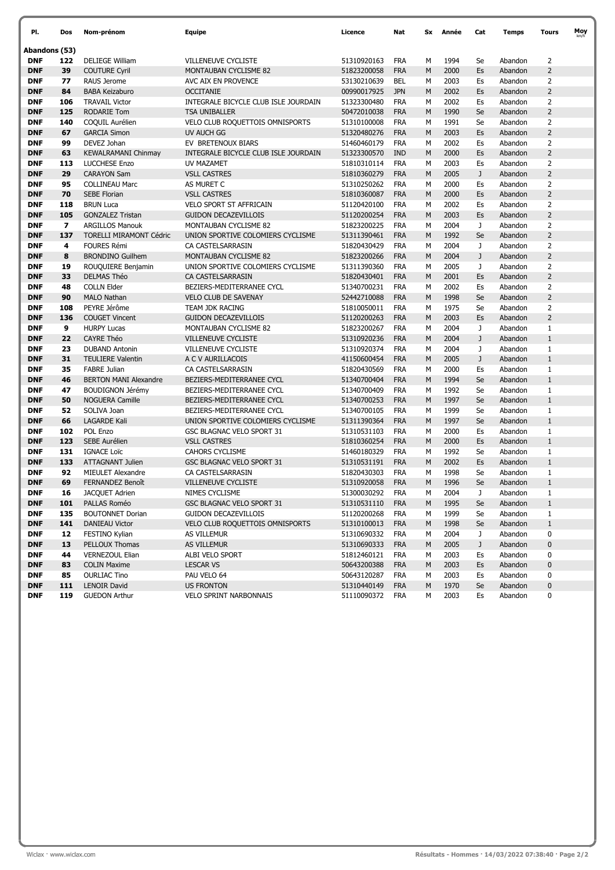| PI.           | Dos                     | Nom-prénom                                                         | <b>Equipe</b>                     |                            | Nat        | Sx | Année | Cat         | <b>Temps</b> | Tours          | Moy |
|---------------|-------------------------|--------------------------------------------------------------------|-----------------------------------|----------------------------|------------|----|-------|-------------|--------------|----------------|-----|
| Abandons (53) |                         |                                                                    |                                   |                            |            |    |       |             |              |                |     |
| <b>DNF</b>    | 122                     | <b>DELIEGE William</b>                                             | VILLENEUVE CYCLISTE               | 51310920163                | <b>FRA</b> | м  | 1994  | Se          | Abandon      | $\overline{2}$ |     |
| <b>DNF</b>    | 39                      | <b>COUTURE Cyril</b>                                               | MONTAUBAN CYCLISME 82             | 51823200058                | <b>FRA</b> | M  | 2000  | Es          | Abandon      | $\overline{2}$ |     |
| <b>DNF</b>    | 77                      | RAUS Jerome                                                        | AVC AIX EN PROVENCE               | 53130210639                | <b>BEL</b> | м  | 2003  | Es          | Abandon      | $\overline{2}$ |     |
| <b>DNF</b>    | 84                      | <b>BABA Keizaburo</b><br><b>OCCITANIE</b>                          |                                   | 00990017925                | <b>JPN</b> | M  | 2002  | Es          | Abandon      | $\overline{2}$ |     |
| <b>DNF</b>    | 106                     | <b>TRAVAIL Victor</b><br>INTEGRALE BICYCLE CLUB ISLE JOURDAIN      |                                   | 51323300480                | <b>FRA</b> | м  | 2002  | Es          | Abandon      | $\overline{2}$ |     |
| <b>DNF</b>    | 125                     | <b>RODARIE Tom</b>                                                 | <b>TSA UNIBALLER</b>              |                            | <b>FRA</b> | M  | 1990  | Se          | Abandon      | $\overline{2}$ |     |
| <b>DNF</b>    | 140                     | COQUIL Aurélien                                                    | VELO CLUB ROQUETTOIS OMNISPORTS   | 50472010038<br>51310100008 | <b>FRA</b> | M  | 1991  | Se          | Abandon      | $\overline{2}$ |     |
| <b>DNF</b>    | 67                      | <b>GARCIA Simon</b>                                                | UV AUCH GG                        | 51320480276                | <b>FRA</b> | M  | 2003  | Es          | Abandon      | $\overline{2}$ |     |
| <b>DNF</b>    | 99                      | DEVEZ Johan                                                        | EV BRETENOUX BIARS                | 51460460179                | <b>FRA</b> | м  | 2002  | Es          | Abandon      | $\overline{2}$ |     |
| <b>DNF</b>    | 63                      | INTEGRALE BICYCLE CLUB ISLE JOURDAIN<br><b>KEWALRAMANI Chinmav</b> |                                   | 51323300570                | <b>IND</b> | M  | 2000  | Es          | Abandon      | $\overline{2}$ |     |
| <b>DNF</b>    | 113                     | LUCCHESE Enzo<br>UV MAZAMET                                        |                                   | 51810310114                | <b>FRA</b> | м  | 2003  | Es          | Abandon      | $\overline{2}$ |     |
| <b>DNF</b>    | 29                      | <b>CARAYON Sam</b><br><b>VSLL CASTRES</b>                          |                                   | 51810360279                | <b>FRA</b> | M  | 2005  | J           | Abandon      | $\overline{2}$ |     |
| <b>DNF</b>    | 95                      | <b>COLLINEAU Marc</b>                                              | AS MURET C                        | 51310250262                | <b>FRA</b> | M  | 2000  | Es          | Abandon      | $\overline{2}$ |     |
| <b>DNF</b>    | 70                      | <b>SEBE Florian</b>                                                | <b>VSLL CASTRES</b>               | 51810360087                | <b>FRA</b> | M  | 2000  | Es          | Abandon      | $\overline{2}$ |     |
| <b>DNF</b>    | 118                     | <b>BRUN Luca</b>                                                   | VELO SPORT ST AFFRICAIN           | 51120420100                | <b>FRA</b> | м  | 2002  | Es          | Abandon      | $\overline{2}$ |     |
| <b>DNF</b>    | 105                     | <b>GONZALEZ Tristan</b>                                            | <b>GUIDON DECAZEVILLOIS</b>       | 51120200254                | <b>FRA</b> | M  | 2003  | Es          | Abandon      | $\overline{2}$ |     |
| <b>DNF</b>    | $\overline{\mathbf{z}}$ | <b>ARGILLOS Manouk</b>                                             | <b>MONTAUBAN CYCLISME 82</b>      | 51823200225                | <b>FRA</b> | M  | 2004  | J           | Abandon      | $\overline{2}$ |     |
| <b>DNF</b>    | 137                     | <b>TORELLI MIRAMONT Cédric</b>                                     | UNION SPORTIVE COLOMIERS CYCLISME | 51311390461                | <b>FRA</b> | M  | 1992  | Se          | Abandon      | $\overline{2}$ |     |
| <b>DNF</b>    | 4                       | <b>FOURES Rémi</b>                                                 | CA CASTELSARRASIN                 | 51820430429                | <b>FRA</b> | M  | 2004  | J           | Abandon      | $\overline{2}$ |     |
| <b>DNF</b>    | 8                       | <b>BRONDINO Guilhem</b>                                            | <b>MONTAUBAN CYCLISME 82</b>      | 51823200266                | <b>FRA</b> | M  | 2004  | J           | Abandon      | $\overline{2}$ |     |
| <b>DNF</b>    | 19                      | ROUQUIERE Benjamin                                                 | UNION SPORTIVE COLOMIERS CYCLISME | 51311390360                | <b>FRA</b> | м  | 2005  | J           | Abandon      | $\overline{2}$ |     |
| <b>DNF</b>    | 33                      | <b>DELMAS Théo</b>                                                 | CA CASTELSARRASIN                 | 51820430401                | <b>FRA</b> | M  | 2001  | Es          | Abandon      | $\overline{2}$ |     |
| <b>DNF</b>    | 48                      | <b>COLLN Elder</b>                                                 | BEZIERS-MEDITERRANEE CYCL         | 51340700231                | <b>FRA</b> | м  | 2002  | Es          | Abandon      | $\overline{2}$ |     |
| <b>DNF</b>    | 90                      | <b>MALO Nathan</b>                                                 | <b>VELO CLUB DE SAVENAY</b>       | 52442710088                | <b>FRA</b> | M  | 1998  | Se          | Abandon      | $\overline{2}$ |     |
| <b>DNF</b>    | 108                     | PEYRE Jérôme                                                       | TEAM JDK RACING                   | 51810050011                | <b>FRA</b> | м  | 1975  | Se          | Abandon      | $\overline{2}$ |     |
| <b>DNF</b>    | 136                     | <b>COUGET Vincent</b>                                              | <b>GUIDON DECAZEVILLOIS</b>       | 51120200263                | <b>FRA</b> | M  | 2003  | Es          | Abandon      | $\overline{2}$ |     |
| <b>DNF</b>    | 9                       | <b>HURPY Lucas</b>                                                 | MONTAUBAN CYCLISME 82             | 51823200267                | <b>FRA</b> | M  | 2004  | J           | Abandon      | $1\,$          |     |
| <b>DNF</b>    | 22                      | <b>CAYRE Théo</b>                                                  | <b>VILLENEUVE CYCLISTE</b>        | 51310920236                | <b>FRA</b> | M  | 2004  | $\mathsf J$ | Abandon      | $\mathbf 1$    |     |
| <b>DNF</b>    | 23                      | <b>DUBAND Antonin</b>                                              | VILLENEUVE CYCLISTE               | 51310920374                | <b>FRA</b> | м  | 2004  | J           | Abandon      | $1\,$          |     |
| <b>DNF</b>    | 31                      | <b>TEULIERE Valentin</b>                                           | A C V AURILLACOIS                 | 41150600454                | <b>FRA</b> | M  | 2005  | $\mathsf J$ | Abandon      | $1\,$          |     |
| <b>DNF</b>    | 35                      | <b>FABRE Julian</b>                                                | CA CASTELSARRASIN                 | 51820430569                | <b>FRA</b> | M  | 2000  | Es          | Abandon      | $\mathbf{1}$   |     |
| <b>DNF</b>    | 46                      | <b>BERTON MANI Alexandre</b>                                       | BEZIERS-MEDITERRANEE CYCL         | 51340700404                | <b>FRA</b> | M  | 1994  | Se          | Abandon      | $\mathbf{1}$   |     |
| <b>DNF</b>    | 47                      | <b>BOUDIGNON Jérémy</b>                                            | BEZIERS-MEDITERRANEE CYCL         | 51340700409                | <b>FRA</b> | M  | 1992  | Se          | Abandon      | $1\,$          |     |
| <b>DNF</b>    | 50                      | <b>NOGUERA Camille</b>                                             | BEZIERS-MEDITERRANEE CYCL         | 51340700253                | <b>FRA</b> | M  | 1997  | Se          | Abandon      | $1\,$          |     |
| <b>DNF</b>    | 52                      | SOLIVA Joan                                                        | BEZIERS-MEDITERRANEE CYCL         | 51340700105                | <b>FRA</b> | м  | 1999  | Se          | Abandon      | $\mathbf{1}$   |     |
| <b>DNF</b>    | 66                      | <b>LAGARDE Kali</b>                                                | UNION SPORTIVE COLOMIERS CYCLISME | 51311390364                | <b>FRA</b> | M  | 1997  | Se          | Abandon      | $1\,$          |     |
| <b>DNF</b>    | 102                     | POL Enzo                                                           | GSC BLAGNAC VELO SPORT 31         | 51310531103                | <b>FRA</b> | м  | 2000  | Es          | Abandon      | $\mathbf{1}$   |     |
| <b>DNF</b>    | 123                     | SEBE Aurélien                                                      | <b>VSLL CASTRES</b>               | 51810360254                | <b>FRA</b> | M  | 2000  | Es          | Abandon      | $\mathbf{1}$   |     |
| <b>DNF</b>    | 131                     | <b>IGNACE Loïc</b>                                                 | CAHORS CYCLISME                   | 51460180329                | <b>FRA</b> | М  | 1992  | Se          | Abandon      | $1\,$          |     |
| <b>DNF</b>    | 133                     | <b>ATTAGNANT Julien</b>                                            | GSC BLAGNAC VELO SPORT 31         | 51310531191                | <b>FRA</b> | M  | 2002  | Es          | Abandon      | $1\,$          |     |
| <b>DNF</b>    | 92                      | MIEULET Alexandre                                                  | CA CASTELSARRASIN                 | 51820430303                | <b>FRA</b> | м  | 1998  | Se          | Abandon      | $\mathbf{1}$   |     |
| <b>DNF</b>    | 69                      | <b>FERNANDEZ Benoît</b>                                            | <b>VILLENEUVE CYCLISTE</b>        | 51310920058                | <b>FRA</b> | M  | 1996  | Se          | Abandon      | $\mathbf{1}$   |     |
| DNF           | 16                      | <b>JACQUET Adrien</b>                                              | NIMES CYCLISME                    | 51300030292                | <b>FRA</b> | м  | 2004  | J           | Abandon      | 1              |     |
| <b>DNF</b>    | 101                     | PALLAS Roméo                                                       | GSC BLAGNAC VELO SPORT 31         | 51310531110                | <b>FRA</b> | M  | 1995  | Se          | Abandon      | $\mathbf{1}$   |     |
| <b>DNF</b>    | 135                     | <b>BOUTONNET Dorian</b>                                            | <b>GUIDON DECAZEVILLOIS</b>       | 51120200268                | <b>FRA</b> | М  | 1999  | Se          | Abandon      | $\mathbf{1}$   |     |
| <b>DNF</b>    | 141                     | DANIEAU Victor                                                     | VELO CLUB ROQUETTOIS OMNISPORTS   | 51310100013                | <b>FRA</b> | M  | 1998  | Se          | Abandon      | $\mathbf{1}$   |     |
| <b>DNF</b>    | 12                      | FESTINO Kylian                                                     | AS VILLEMUR                       | 51310690332                | FRA        | м  | 2004  | J           | Abandon      | 0              |     |
| <b>DNF</b>    | 13                      | PELLOUX Thomas                                                     | AS VILLEMUR                       | 51310690333                | <b>FRA</b> | M  | 2005  | $\mathsf J$ | Abandon      | $\pmb{0}$      |     |
| <b>DNF</b>    | 44                      | <b>VERNEZOUL Elian</b>                                             | ALBI VELO SPORT                   | 51812460121                | <b>FRA</b> | м  | 2003  | Es          | Abandon      | 0              |     |
| <b>DNF</b>    | 83                      | <b>COLIN Maxime</b>                                                | <b>LESCAR VS</b>                  | 50643200388                | <b>FRA</b> | M  | 2003  | Es          | Abandon      | $\pmb{0}$      |     |
| <b>DNF</b>    | 85                      | <b>OURLIAC Tino</b>                                                | PAU VELO 64                       | 50643120287                | <b>FRA</b> | м  | 2003  | Es          | Abandon      | 0              |     |
| <b>DNF</b>    | 111                     | <b>LENOIR David</b>                                                | <b>US FRONTON</b>                 | 51310440149                | <b>FRA</b> | M  | 1970  | Se          | Abandon      | $\pmb{0}$      |     |
| DNF           | 119                     | <b>GUEDON Arthur</b>                                               | <b>VELO SPRINT NARBONNAIS</b>     | 51110090372                | FRA        | М  | 2003  | Es          | Abandon      | 0              |     |